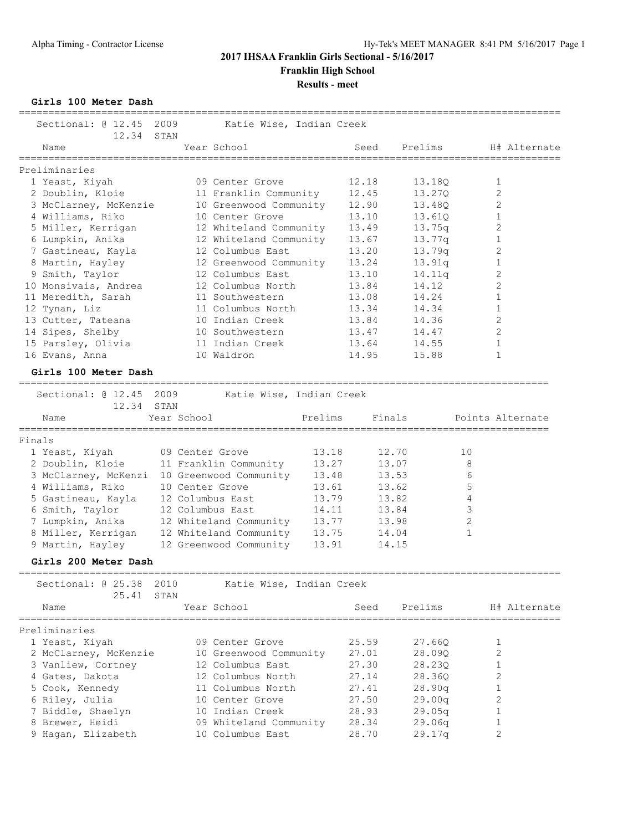# **2017 IHSAA Franklin Girls Sectional - 5/16/2017 Franklin High School Results - meet**

**Girls 100 Meter Dash**

| Sectional: @ 12.45<br>12.34                                                                                                                                                                                                                                                                                                            | 2009<br>STAN                                                               | Katie Wise, Indian Creek                                                                                                                                                                                                                                                                                                          |                                                                               |                                                                                                                                     |                                                                                                                                              |                                                                                                                                                                                |              |
|----------------------------------------------------------------------------------------------------------------------------------------------------------------------------------------------------------------------------------------------------------------------------------------------------------------------------------------|----------------------------------------------------------------------------|-----------------------------------------------------------------------------------------------------------------------------------------------------------------------------------------------------------------------------------------------------------------------------------------------------------------------------------|-------------------------------------------------------------------------------|-------------------------------------------------------------------------------------------------------------------------------------|----------------------------------------------------------------------------------------------------------------------------------------------|--------------------------------------------------------------------------------------------------------------------------------------------------------------------------------|--------------|
| Name                                                                                                                                                                                                                                                                                                                                   |                                                                            | Year School                                                                                                                                                                                                                                                                                                                       |                                                                               | Seed                                                                                                                                | Prelims                                                                                                                                      |                                                                                                                                                                                | H# Alternate |
| Preliminaries<br>1 Yeast, Kiyah<br>2 Doublin, Kloie<br>3 McClarney, McKenzie<br>4 Williams, Riko<br>5 Miller, Kerrigan<br>6 Lumpkin, Anika<br>7 Gastineau, Kayla<br>8 Martin, Hayley<br>9 Smith, Taylor<br>10 Monsivais, Andrea<br>11 Meredith, Sarah<br>12 Tynan, Liz<br>13 Cutter, Tateana<br>14 Sipes, Shelby<br>15 Parsley, Olivia |                                                                            | 09 Center Grove<br>11 Franklin Community<br>10 Greenwood Community<br>10 Center Grove<br>12 Whiteland Community<br>12 Whiteland Community<br>12 Columbus East<br>12 Greenwood Community<br>12 Columbus East<br>12 Columbus North<br>11 Southwestern<br>11 Columbus North<br>10 Indian Creek<br>10 Southwestern<br>11 Indian Creek |                                                                               | 12.18<br>12.45<br>12.90<br>13.10<br>13.49<br>13.67<br>13.20<br>13.24<br>13.10<br>13.84<br>13.08<br>13.34<br>13.84<br>13.47<br>13.64 | 13.18Q<br>13.270<br>13.480<br>13.610<br>13.75q<br>13.77q<br>13.79q<br>13.91q<br>14.11q<br>14.12<br>14.24<br>14.34<br>14.36<br>14.47<br>14.55 | 1<br>$\overline{c}$<br>2<br>$\mathbf{1}$<br>2<br>$\mathbf{1}$<br>2<br>$\mathbf{1}$<br>$\mathbf{2}$<br>$\overline{2}$<br>$\mathbf{1}$<br>$\mathbf{1}$<br>2<br>2<br>$\mathbf{1}$ |              |
| 16 Evans, Anna<br>Girls 100 Meter Dash                                                                                                                                                                                                                                                                                                 |                                                                            | 10 Waldron                                                                                                                                                                                                                                                                                                                        |                                                                               | 14.95                                                                                                                               | 15.88                                                                                                                                        | $\mathbf{1}$                                                                                                                                                                   |              |
| ====================<br>Sectional: @ 12.45<br>12.34<br>Name                                                                                                                                                                                                                                                                            | 2009<br>STAN<br>Year School                                                | Katie Wise, Indian Creek                                                                                                                                                                                                                                                                                                          | Prelims                                                                       | Finals                                                                                                                              |                                                                                                                                              | Points Alternate                                                                                                                                                               |              |
| Finals<br>1 Yeast, Kiyah<br>2 Doublin, Kloie<br>3 McClarney, McKenzi<br>4 Williams, Riko<br>5 Gastineau, Kayla<br>6 Smith, Taylor<br>7 Lumpkin, Anika<br>8 Miller, Kerrigan<br>9 Martin, Hayley                                                                                                                                        | 09 Center Grove<br>10 Center Grove<br>12 Columbus East<br>12 Columbus East | 11 Franklin Community<br>10 Greenwood Community<br>12 Whiteland Community<br>12 Whiteland Community<br>12 Greenwood Community                                                                                                                                                                                                     | 13.18<br>13.27<br>13.48<br>13.61<br>13.79<br>14.11<br>13.77<br>13.75<br>13.91 | 12.70<br>13.53<br>13.82<br>13.84<br>13.98<br>14.04<br>14.15                                                                         | 13.07<br>13.62                                                                                                                               | 10<br>8<br>6<br>5<br>4<br>3<br>$\overline{2}$<br>$\mathbf{1}$                                                                                                                  |              |
| Girls 200 Meter Dash<br>Sectional: @ 25.38                                                                                                                                                                                                                                                                                             | 2010                                                                       | Katie Wise, Indian Creek                                                                                                                                                                                                                                                                                                          |                                                                               |                                                                                                                                     |                                                                                                                                              |                                                                                                                                                                                |              |
| 25.41<br>Name                                                                                                                                                                                                                                                                                                                          | STAN                                                                       | Year School                                                                                                                                                                                                                                                                                                                       |                                                                               | Seed                                                                                                                                | Prelims                                                                                                                                      |                                                                                                                                                                                | H# Alternate |
| Preliminaries<br>1 Yeast, Kiyah<br>2 McClarney, McKenzie<br>3 Vanliew, Cortney<br>4 Gates, Dakota<br>5 Cook, Kennedy<br>6 Riley, Julia<br>7 Biddle, Shaelyn<br>8 Brewer, Heidi<br>9 Hagan, Elizabeth                                                                                                                                   |                                                                            | 09 Center Grove<br>10 Greenwood Community<br>12 Columbus East<br>12 Columbus North<br>11 Columbus North<br>10 Center Grove<br>10 Indian Creek<br>09 Whiteland Community<br>10 Columbus East                                                                                                                                       |                                                                               | 25.59<br>27.01<br>27.30<br>27.14<br>27.41<br>27.50<br>28.93<br>28.34<br>28.70                                                       | 27.66Q<br>28.09Q<br>28.230<br>28.36Q<br>28.90q<br>29.00q<br>29.05q<br>29.06q<br>29.17q                                                       | 1<br>$\overline{c}$<br>$\mathbf{1}$<br>2<br>$\mathbf{1}$<br>2<br>1<br>1<br>2                                                                                                   |              |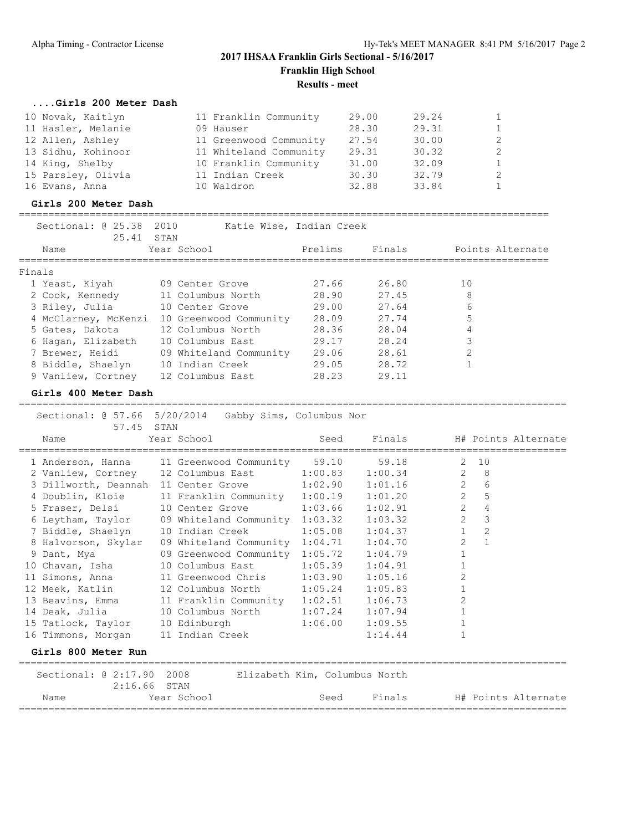# **2017 IHSAA Franklin Girls Sectional - 5/16/2017 Franklin High School Results - meet**

# **....Girls 200 Meter Dash**

| 10 Novak, Kaitlyn  | 11 Franklin Community  | 29.00 | 29.24 | $\mathbf{1}$ |
|--------------------|------------------------|-------|-------|--------------|
| 11 Hasler, Melanie | 09 Hauser              | 28.30 | 29.31 | $\mathbf{1}$ |
| 12 Allen, Ashley   | 11 Greenwood Community | 27.54 | 30.00 | 2            |
| 13 Sidhu, Kohinoor | 11 Whiteland Community | 29.31 | 30.32 | 2            |
| 14 King, Shelby    | 10 Franklin Community  | 31.00 | 32.09 | $\mathbf{1}$ |
| 15 Parsley, Olivia | 11 Indian Creek        | 30.30 | 32.79 | 2            |
| 16 Evans, Anna     | 10 Waldron             | 32.88 | 33.84 | $\mathbf{1}$ |

#### **Girls 200 Meter Dash**

#### ==========================================================================================

| Sectional: @ 25.38<br>25.41 | 2010<br>STAN           | Katie Wise, Indian Creek |        |                  |
|-----------------------------|------------------------|--------------------------|--------|------------------|
| Name                        | Year School            | Prelims                  | Finals | Points Alternate |
| Finals                      |                        |                          |        |                  |
| 1 Yeast, Kiyah              | 09 Center Grove        | 27.66                    | 26.80  | 10               |
| 2 Cook, Kennedy             | 11 Columbus North      | 28.90                    | 27.45  | 8                |
| 3 Riley, Julia              | 10 Center Grove        | 29.00                    | 27.64  | 6                |
| 4 McClarney, McKenzi        | 10 Greenwood Community | 28.09                    | 27.74  | 5                |
| 5 Gates, Dakota             | 12 Columbus North      | 28.36                    | 28.04  | 4                |
| 6 Hagan, Elizabeth          | 10 Columbus East       | 29.17                    | 28.24  | 3                |
| 7 Brewer, Heidi             | 09 Whiteland Community | 29.06                    | 28.61  | $\overline{2}$   |
| 8 Biddle, Shaelyn           | 10 Indian Creek        | 29.05                    | 28.72  |                  |
| 9 Vanliew, Cortney          | 12 Columbus East       | 28.23                    | 29.11  |                  |

=============================================================================================

### **Girls 400 Meter Dash**

|      | Sectional: @ 57.66 5/20/2014 Gabby Sims, Columbus Nor<br>57.45 STAN |                                              |                  |                                                |                            |                     |                     |
|------|---------------------------------------------------------------------|----------------------------------------------|------------------|------------------------------------------------|----------------------------|---------------------|---------------------|
| Name |                                                                     | Year School                                  | <b>Seed</b> Seed | ====================================           | Finals H# Points Alternate |                     |                     |
|      | 1 Anderson, Hanna 11 Greenwood Community 59.10                      |                                              |                  | 59.18                                          |                            | $2 \quad 10$        |                     |
|      | 2 Vanliew, Cortney 12 Columbus East 1:00.83 1:00.34                 |                                              |                  |                                                |                            | $2 \quad 8$         |                     |
|      | 3 Dillworth, Deannah 11 Center Grove 1:02.90 1:01.16                |                                              |                  |                                                |                            | $2^{\circ}$<br>6    |                     |
|      | 4 Doublin, Kloie 11 Franklin Community 1:00.19 1:01.20              |                                              |                  |                                                | $\overline{2}$             | 5                   |                     |
|      | 5 Fraser, Delsi 10 Center Grove                                     |                                              |                  | $1:03.66$ $1:02.91$                            | $\overline{2}$             | $\overline{4}$      |                     |
|      | 6 Leytham, Taylor 09 Whiteland Community 1:03.32 1:03.32            |                                              |                  |                                                | $\overline{2}$             | 3                   |                     |
|      | 7 Biddle, Shaelyn 10 Indian Creek 1:05.08 1:04.37                   |                                              |                  |                                                |                            | $\overline{c}$<br>1 |                     |
|      | 8 Halvorson, Skylar 09 Whiteland Community 1:04.71 1:04.70          |                                              |                  |                                                | $\overline{2}$             | $\mathbf{1}$        |                     |
|      | 9 Dant, Mya                                                         | 09 Greenwood Community 1:05.72 1:04.79       |                  |                                                | $\mathbf{1}$               |                     |                     |
|      | 10 Chavan, Isha 10 Columbus East                                    |                                              |                  | $1:05.39$ $1:04.91$                            | $\mathbf{1}$               |                     |                     |
|      | 11 Simons, Anna 11 Greenwood Chris 1:03.90 1:05.16                  |                                              |                  |                                                | 2                          |                     |                     |
|      | 12 Meek, Katlin 12 Columbus North 1:05.24 1:05.83                   |                                              |                  |                                                | $\mathbf{1}$               |                     |                     |
|      | 13 Beavins, Emma 11 Franklin Community 1:02.51 1:06.73              |                                              |                  |                                                | $\overline{c}$             |                     |                     |
|      | 14 Deak, Julia 10 Columbus North 1:07.24 1:07.94                    |                                              |                  |                                                | $\mathbf{1}$               |                     |                     |
|      | 15 Tatlock, Taylor 10 Edinburgh                                     |                                              |                  | $1:06.00$ $1:09.55$                            | $\mathbf{1}$               |                     |                     |
|      | 16 Timmons, Morgan 11 Indian Creek                                  |                                              |                  | 1:14.44                                        | $\mathbf{1}$               |                     |                     |
|      | Girls 800 Meter Run                                                 |                                              |                  |                                                |                            |                     |                     |
|      | Sectional: @ 2:17.90 2008<br>$2:16.66$ STAN                         |                                              |                  | Elizabeth Kim, Columbus North                  |                            |                     |                     |
| Name |                                                                     | Year School<br>============================= | Seed             | Finals<br>==================================== |                            |                     | H# Points Alternate |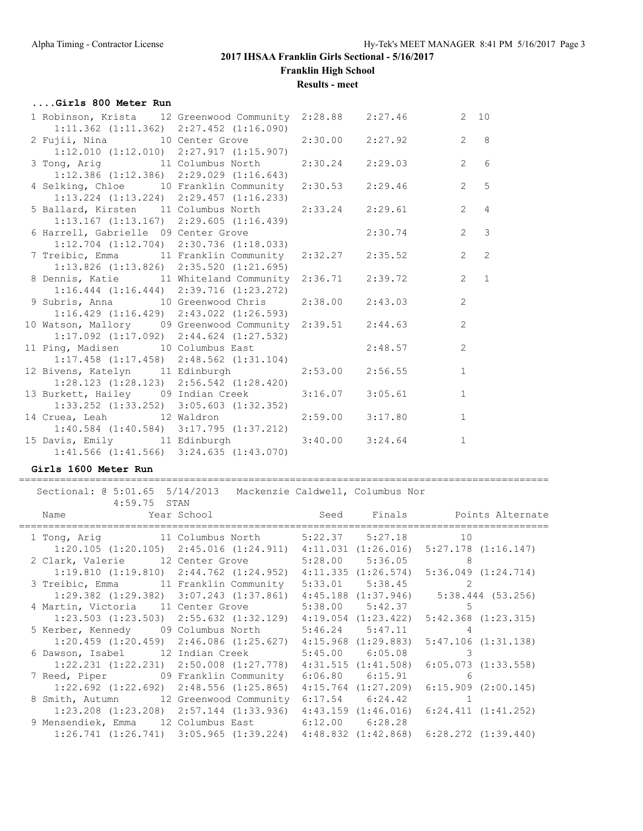# **2017 IHSAA Franklin Girls Sectional - 5/16/2017 Franklin High School**

**Results - meet**

### **....Girls 800 Meter Run**

| 1 Robinson, Krista 12 Greenwood Community 2:28.88 2:27.46 |                     |         |                | $2 \quad 10$   |
|-----------------------------------------------------------|---------------------|---------|----------------|----------------|
| $1:11.362$ $(1:11.362)$ $2:27.452$ $(1:16.090)$           |                     |         |                |                |
| 2 Fujii, Nina 10 Center Grove 2:30.00 2:27.92             |                     |         |                | $2^8$          |
| $1:12.010$ $(1:12.010)$ $2:27.917$ $(1:15.907)$           |                     |         |                |                |
| 3 Tong, Arig 		 11 Columbus North 		 2:30.24 	 2:29.03    |                     |         |                | 2 6            |
| $1:12.386$ (1:12.386) 2:29.029 (1:16.643)                 |                     |         |                |                |
| 4 Selking, Chloe 10 Franklin Community                    | 2:30.53 2:29.46     |         |                | $2 \qquad 5$   |
| $1:13.224$ $(1:13.224)$ $2:29.457$ $(1:16.233)$           |                     |         |                |                |
| 5 Ballard, Kirsten 11 Columbus North 2:33.24 2:29.61      |                     |         |                | $2 \quad 4$    |
| $1:13.167$ $(1:13.167)$ $2:29.605$ $(1:16.439)$           |                     |         |                |                |
| 6 Harrell, Gabrielle 09 Center Grove                      |                     | 2:30.74 | $\overline{2}$ | $\mathcal{S}$  |
| $1:12.704$ $(1:12.704)$ $2:30.736$ $(1:18.033)$           |                     |         |                |                |
| 7 Treibic, Emma 11 Franklin Community 2:32.27 2:35.52     |                     |         |                | $2 \quad 2$    |
| $1:13.826$ (1:13.826) 2:35.520 (1:21.695)                 |                     |         |                |                |
| 8 Dennis, Katie 11 Whiteland Community 2:36.71 2:39.72    |                     |         | $\overline{2}$ | $\overline{1}$ |
| $1:16.444$ $(1:16.444)$ $2:39.716$ $(1:23.272)$           |                     |         |                |                |
| 9 Subris, Anna 10 Greenwood Chris 2:38.00 2:43.03         |                     |         | 2              |                |
| $1:16.429$ $(1:16.429)$ $2:43.022$ $(1:26.593)$           |                     |         |                |                |
| 10 Watson, Mallory 09 Greenwood Community 2:39.51 2:44.63 |                     |         | $\overline{2}$ |                |
| $1:17.092$ $(1:17.092)$ $2:44.624$ $(1:27.532)$           |                     |         |                |                |
| 11 Ping, Madisen 10 Columbus East                         |                     | 2:48.57 | $\overline{2}$ |                |
| $1:17.458$ $(1:17.458)$ $2:48.562$ $(1:31.104)$           |                     |         |                |                |
| 12 Bivens, Katelyn 11 Edinburgh                           | $2:53.00$ $2:56.55$ |         | $\mathbf{1}$   |                |
| $1:28.123$ $(1:28.123)$ $2:56.542$ $(1:28.420)$           |                     |         |                |                |
| 13 Burkett, Hailey 09 Indian Creek 3:16.07 3:05.61        |                     |         | $\mathbf{1}$   |                |
| $1:33.252$ $(1:33.252)$ $3:05.603$ $(1:32.352)$           |                     |         |                |                |
| 14 Cruea, Leah 12 Waldron                                 | $2:59.00$ $3:17.80$ |         | $\mathbf{1}$   |                |
| $1:40.584$ $(1:40.584)$ $3:17.795$ $(1:37.212)$           |                     |         |                |                |
| 15 Davis, Emily 11 Edinburgh                              | $3:40.00$ $3:24.64$ |         | $\mathbf{1}$   |                |
| $1:41.566$ $(1:41.566)$ $3:24.635$ $(1:43.070)$           |                     |         |                |                |

# **Girls 1600 Meter Run**

#### ========================================================================================== Sectional: @ 5:01.65 5/14/2013 Mackenzie Caldwell, Columbus Nor

| 4:59.75 STAN                                                                                  |                                                 |                         |                                                 |
|-----------------------------------------------------------------------------------------------|-------------------------------------------------|-------------------------|-------------------------------------------------|
| Name                 Year School                     Seed     Finals         Points Alternate |                                                 |                         |                                                 |
| 1 Tong, Arig 11 Columbus North 5:22.37 5:27.18 10                                             |                                                 |                         |                                                 |
| $1:20.105$ $(1:20.105)$ $2:45.016$ $(1:24.911)$                                               |                                                 |                         | $4:11.031$ $(1:26.016)$ $5:27.178$ $(1:16.147)$ |
| 2 Clark, Valerie 12 Center Grove                                                              |                                                 | 5:28.00 5:36.05 8       |                                                 |
| $1:19.810$ $(1:19.810)$ $2:44.762$ $(1:24.952)$                                               |                                                 |                         | $4:11.335$ $(1:26.574)$ $5:36.049$ $(1:24.714)$ |
| 3 Treibic, Emma 11 Franklin Community                                                         |                                                 | $5:33.01$ $5:38.45$ 2   |                                                 |
| $1:29.382$ $(1:29.382)$ $3:07.243$ $(1:37.861)$                                               |                                                 |                         | $4:45.188$ $(1:37.946)$ $5:38.444$ $(53.256)$   |
| 4 Martin, Victoria 11 Center Grove                                                            |                                                 | $5:38.00$ $5:42.37$ 5   |                                                 |
|                                                                                               | $1:23.503$ $(1:23.503)$ $2:55.632$ $(1:32.129)$ | $4:19.054$ $(1:23.422)$ | $5:42.368$ $(1:23.315)$                         |
| 5 Kerber, Kennedy 09 Columbus North                                                           |                                                 | $5:46.24$ $5:47.11$ 4   |                                                 |
| $1:20.459$ $(1:20.459)$ $2:46.086$ $(1:25.627)$                                               |                                                 | $4:15.968$ $(1:29.883)$ | $5:47.106$ $(1:31.138)$                         |
| 6 Dawson, Isabel 12 Indian Creek                                                              |                                                 | $5:45.00$ $6:05.08$     | $\sim$ 3                                        |
| $1:22.231$ $(1:22.231)$ $2:50.008$ $(1:27.778)$                                               |                                                 |                         | $4:31.515$ $(1:41.508)$ $6:05.073$ $(1:33.558)$ |
| 7 Reed, Piper 69 Franklin Community                                                           |                                                 | $6:06.80$ $6:15.91$ 6   |                                                 |
| $1:22.692$ $(1:22.692)$ $2:48.556$ $(1:25.865)$                                               |                                                 | $4:15.764$ $(1:27.209)$ | $6:15.909$ $(2:00.145)$                         |
| 8 Smith, Autumn 12 Greenwood Community                                                        |                                                 | $6:17.54$ $6:24.42$ 1   |                                                 |
| $1:23.208$ $(1:23.208)$ $2:57.144$ $(1:33.936)$                                               |                                                 |                         | $4:43.159$ $(1:46.016)$ $6:24.411$ $(1:41.252)$ |
| 9 Mensendiek, Emma 12 Columbus East 6:12.00 6:28.28                                           |                                                 |                         |                                                 |
|                                                                                               | $1:26.741$ $(1:26.741)$ $3:05.965$ $(1:39.224)$ |                         | $4:48.832$ $(1:42.868)$ $6:28.272$ $(1:39.440)$ |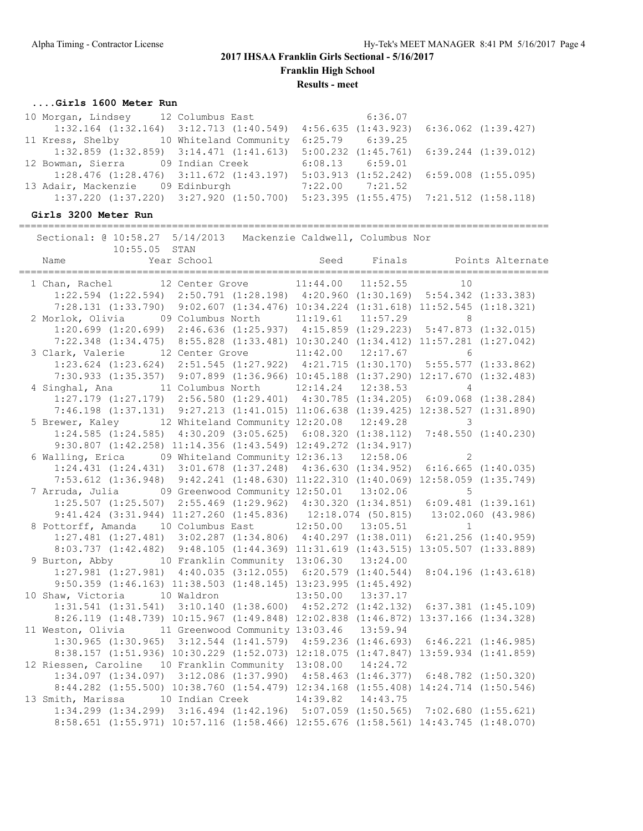**Franklin High School**

**Results - meet**

### **....Girls 1600 Meter Run**

| 10 Morgan, Lindsey 12 Columbus East 6:36.07                                                     |                                                                                                 |  |
|-------------------------------------------------------------------------------------------------|-------------------------------------------------------------------------------------------------|--|
| 1:32.164 (1:32.164) 3:12.713 (1:40.549) 4:56.635 (1:43.923) 6:36.062 (1:39.427)                 |                                                                                                 |  |
| 11 Kress, Shelby 10 Whiteland Community 6:25.79 6:39.25                                         |                                                                                                 |  |
| $1:32.859$ $(1:32.859)$ $3:14.471$ $(1:41.613)$ $5:00.232$ $(1:45.761)$ $6:39.244$ $(1:39.012)$ |                                                                                                 |  |
| 12 Bowman, Sierra (19 Indian Creek 6:08.13 6:59.01                                              |                                                                                                 |  |
| $1:28.476$ (1:28.476) 3:11.672 (1:43.197) 5:03.913 (1:52.242) 6:59.008 (1:55.095)               |                                                                                                 |  |
| 13 Adair, Mackenzie 09 Edinburgh                                                                | 7:22.00 7:21.52                                                                                 |  |
|                                                                                                 | $1:37.220$ $(1:37.220)$ $3:27.920$ $(1:50.700)$ $5:23.395$ $(1:55.475)$ $7:21.512$ $(1:58.118)$ |  |

# **Girls 3200 Meter Run**

========================================================================================== Sectional: @ 10:58.27 5/14/2013 Mackenzie Caldwell, Columbus Nor

| 10:55.05 STAN                                                                      |  |  |                |  |
|------------------------------------------------------------------------------------|--|--|----------------|--|
|                                                                                    |  |  |                |  |
| 1 Chan, Rachel 12 Center Grove 11:44.00 11:52.55                                   |  |  | 10             |  |
| 1:22.594 (1:22.594) 2:50.791 (1:28.198) 4:20.960 (1:30.169) 5:54.342 (1:33.383)    |  |  |                |  |
| 7:28.131 (1:33.790) 9:02.607 (1:34.476) 10:34.224 (1:31.618) 11:52.545 (1:18.321)  |  |  |                |  |
| 2 Morlok, Olivia 09 Columbus North 11:19.61 11:57.29                               |  |  | 8 <sup>8</sup> |  |
| 1:20.699 (1:20.699) 2:46.636 (1:25.937) 4:15.859 (1:29.223) 5:47.873 (1:32.015)    |  |  |                |  |
| 7:22.348 (1:34.475) 8:55.828 (1:33.481) 10:30.240 (1:34.412) 11:57.281 (1:27.042)  |  |  |                |  |
| 3 Clark, Valerie 12 Center Grove 11:42.00 12:17.67 6                               |  |  |                |  |
| 1:23.624 (1:23.624) 2:51.545 (1:27.922) 4:21.715 (1:30.170) 5:55.577 (1:33.862)    |  |  |                |  |
| 7:30.933 (1:35.357) 9:07.899 (1:36.966) 10:45.188 (1:37.290) 12:17.670 (1:32.483)  |  |  |                |  |
| 4 Singhal, Ana 11 Columbus North 12:14.24 12:38.53 4                               |  |  |                |  |
| 1:27.179 (1:27.179) 2:56.580 (1:29.401) 4:30.785 (1:34.205) 6:09.068 (1:38.284)    |  |  |                |  |
| 7:46.198 (1:37.131) 9:27.213 (1:41.015) 11:06.638 (1:39.425) 12:38.527 (1:31.890)  |  |  |                |  |
| 5 Brewer, Kaley 12 Whiteland Community 12:20.08 12:49.28 3                         |  |  |                |  |
| 1:24.585 (1:24.585) 4:30.209 (3:05.625) 6:08.320 (1:38.112) 7:48.550 (1:40.230)    |  |  |                |  |
| 9:30.807 (1:42.258) 11:14.356 (1:43.549) 12:49.272 (1:34.917)                      |  |  |                |  |
| 6 Walling, Erica 09 Whiteland Community 12:36.13 12:58.06                          |  |  | 2              |  |
| 1:24.431 (1:24.431) 3:01.678 (1:37.248) 4:36.630 (1:34.952) 6:16.665 (1:40.035)    |  |  |                |  |
| 7:53.612 (1:36.948) 9:42.241 (1:48.630) 11:22.310 (1:40.069) 12:58.059 (1:35.749)  |  |  |                |  |
| 7 Arruda, Julia 69 Greenwood Community 12:50.01 13:02.06 5                         |  |  |                |  |
| 1:25.507 (1:25.507) 2:55.469 (1:29.962) 4:30.320 (1:34.851) 6:09.481 (1:39.161)    |  |  |                |  |
| 9:41.424 (3:31.944) 11:27.260 (1:45.836) 12:18.074 (50.815) 13:02.060 (43.986)     |  |  |                |  |
| 8 Pottorff, Amanda 10 Columbus East 12:50.00 13:05.51                              |  |  | $\mathbf{1}$   |  |
| 1:27.481 (1:27.481) 3:02.287 (1:34.806) 4:40.297 (1:38.011) 6:21.256 (1:40.959)    |  |  |                |  |
| 8:03.737 (1:42.482) 9:48.105 (1:44.369) 11:31.619 (1:43.515) 13:05.507 (1:33.889)  |  |  |                |  |
| 9 Burton, Abby 10 Franklin Community 13:06.30 13:24.00                             |  |  |                |  |
| 1:27.981 (1:27.981) 4:40.035 (3:12.055) 6:20.579 (1:40.544) 8:04.196 (1:43.618)    |  |  |                |  |
| 9:50.359 (1:46.163) 11:38.503 (1:48.145) 13:23.995 (1:45.492)                      |  |  |                |  |
| 10 Shaw, Victoria 10 Waldron 13:50.00 13:37.17                                     |  |  |                |  |
| 1:31.541 (1:31.541) 3:10.140 (1:38.600) 4:52.272 (1:42.132) 6:37.381 (1:45.109)    |  |  |                |  |
| 8:26.119 (1:48.739) 10:15.967 (1:49.848) 12:02.838 (1:46.872) 13:37.166 (1:34.328) |  |  |                |  |
| 11 Weston, Olivia 11 Greenwood Community 13:03.46 13:59.94                         |  |  |                |  |
| 1:30.965 (1:30.965) 3:12.544 (1:41.579) 4:59.236 (1:46.693) 6:46.221 (1:46.985)    |  |  |                |  |
| 8:38.157 (1:51.936) 10:30.229 (1:52.073) 12:18.075 (1:47.847) 13:59.934 (1:41.859) |  |  |                |  |
| 12 Riessen, Caroline 10 Franklin Community 13:08.00 14:24.72                       |  |  |                |  |
| 1:34.097 (1:34.097) 3:12.086 (1:37.990) 4:58.463 (1:46.377) 6:48.782 (1:50.320)    |  |  |                |  |
| 8:44.282 (1:55.500) 10:38.760 (1:54.479) 12:34.168 (1:55.408) 14:24.714 (1:50.546) |  |  |                |  |
| 13 Smith, Marissa 10 Indian Creek 14:39.82 14:43.75                                |  |  |                |  |
| 1:34.299 (1:34.299) 3:16.494 (1:42.196) 5:07.059 (1:50.565) 7:02.680 (1:55.621)    |  |  |                |  |
| 8:58.651 (1:55.971) 10:57.116 (1:58.466) 12:55.676 (1:58.561) 14:43.745 (1:48.070) |  |  |                |  |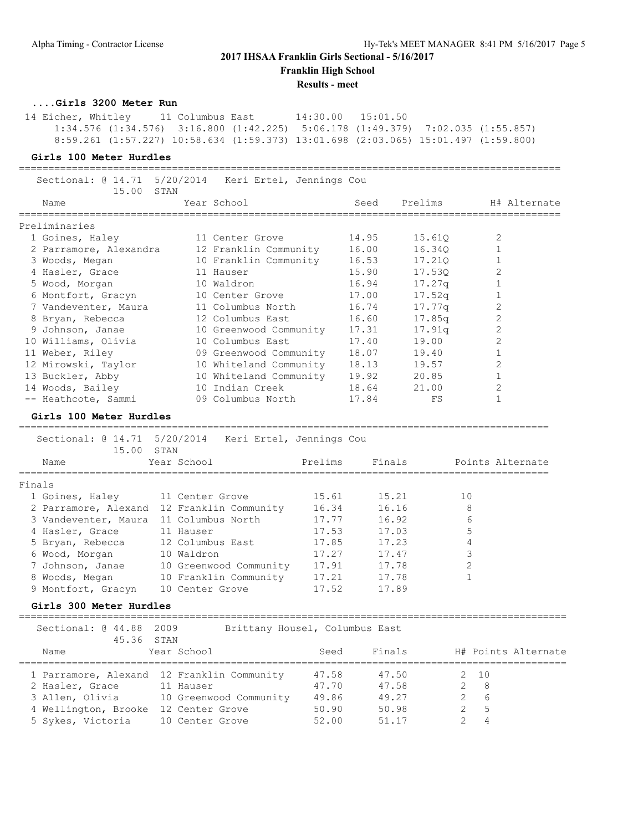# **2017 IHSAA Franklin Girls Sectional - 5/16/2017 Franklin High School**

**Results - meet**

**....Girls 3200 Meter Run**

 14 Eicher, Whitley 11 Columbus East 14:30.00 15:01.50 1:34.576 (1:34.576) 3:16.800 (1:42.225) 5:06.178 (1:49.379) 7:02.035 (1:55.857) 8:59.261 (1:57.227) 10:58.634 (1:59.373) 13:01.698 (2:03.065) 15:01.497 (1:59.800)

### **Girls 100 Meter Hurdles**

| Sectional: @ 14.71<br>15.00                | STAN             | 5/20/2014 Keri Ertel, Jennings Cou |         |                                            |         |                |                  |
|--------------------------------------------|------------------|------------------------------------|---------|--------------------------------------------|---------|----------------|------------------|
| Name                                       |                  | Year School                        |         | Seed<br>================================== | Prelims |                | H# Alternate     |
| Preliminaries                              |                  |                                    |         |                                            |         |                |                  |
| 1 Goines, Haley                            |                  | 11 Center Grove                    |         | 14.95                                      | 15.61Q  |                | 2                |
| 2 Parramore, Alexandra                     |                  | 12 Franklin Community              |         | 16.00                                      | 16.340  |                | $\mathbf{1}$     |
| 3 Woods, Megan                             |                  | 10 Franklin Community              |         | 16.53                                      | 17.210  |                | $\mathbf{1}$     |
| 4 Hasler, Grace                            |                  | 11 Hauser                          |         | 15.90                                      | 17.530  |                | $\overline{2}$   |
| 5 Wood, Morgan                             |                  | 10 Waldron                         |         | 16.94                                      | 17.27q  |                | $\mathbf{1}$     |
| 6 Montfort, Gracyn                         |                  | 10 Center Grove                    |         | 17.00                                      | 17.52q  |                | $\mathbf{1}$     |
| 7 Vandeventer, Maura                       |                  | 11 Columbus North                  |         | 16.74                                      | 17.77q  |                | $\overline{c}$   |
| 8 Bryan, Rebecca                           |                  | 12 Columbus East                   |         | 16.60                                      | 17.85q  |                | $\overline{c}$   |
| 9 Johnson, Janae                           |                  | 10 Greenwood Community             |         | 17.31                                      | 17.91q  |                | $\overline{2}$   |
| 10 Williams, Olivia                        |                  | 10 Columbus East                   |         | 17.40                                      | 19.00   |                | $\overline{2}$   |
| 11 Weber, Riley                            |                  | 09 Greenwood Community             |         | 18.07                                      | 19.40   |                | $\mathbf{1}$     |
| 12 Mirowski, Taylor                        |                  | 10 Whiteland Community             |         | 18.13                                      | 19.57   |                | $\overline{2}$   |
| 13 Buckler, Abby                           |                  | 10 Whiteland Community             |         | 19.92                                      | 20.85   |                | $\mathbf 1$      |
| 14 Woods, Bailey                           |                  | 10 Indian Creek                    |         | 18.64                                      | 21.00   |                | $\overline{2}$   |
| -- Heathcote, Sammi                        |                  | 09 Columbus North                  |         | 17.84                                      | FS      |                | $\mathbf 1$      |
| Girls 100 Meter Hurdles                    |                  |                                    |         |                                            |         |                |                  |
| Sectional: 0 14.71 5/20/2014<br>15.00      | STAN             | Keri Ertel, Jennings Cou           |         |                                            |         |                |                  |
| Name                                       | Year School      |                                    | Prelims | Finals                                     |         |                | Points Alternate |
| Finals                                     |                  |                                    |         |                                            |         |                |                  |
| 1 Goines, Haley                            | 11 Center Grove  |                                    | 15.61   | 15.21                                      |         | 10             |                  |
| 2 Parramore, Alexand 12 Franklin Community |                  |                                    | 16.34   | 16.16                                      |         | 8              |                  |
| 3 Vandeventer, Maura 11 Columbus North     |                  |                                    | 17.77   | 16.92                                      |         | 6              |                  |
| 4 Hasler, Grace                            | 11 Hauser        |                                    | 17.53   | 17.03                                      |         | 5              |                  |
| 5 Bryan, Rebecca                           | 12 Columbus East |                                    | 17.85   | 17.23                                      |         | 4              |                  |
| 6 Wood, Morgan                             | 10 Waldron       |                                    | 17.27   | 17.47                                      |         | 3              |                  |
| 7 Johnson, Janae                           |                  | 10 Greenwood Community             | 17.91   | 17.78                                      |         | $\overline{2}$ |                  |
| 8 Woods, Megan                             |                  | 10 Franklin Community              | 17.21   | 17.78                                      |         | $\mathbf{1}$   |                  |
| 9 Montfort, Gracyn                         | 10 Center Grove  |                                    | 17.52   | 17.89                                      |         |                |                  |
| $Ci$ $\sim$ 1 $\sim$ 200 Matam Urradlas    |                  |                                    |         |                                            |         |                |                  |

**Girls 300 Meter Hurdles**

============================================================================================= Sectional: @ 44.88 2009 Brittany Housel, Columbus East 45.36 STAN<br>e Year School Name Year School Seed Finals H# Points Alternate ============================================================================================= 1 Parramore, Alexand 12 Franklin Community 47.58 47.50 2 10 2 Hasler, Grace 11 Hauser 47.70 47.58 2 8 3 Allen, Olivia 10 Greenwood Community 49.86 49.27 2 6 4 Wellington, Brooke 12 Center Grove 50.90 50.98 2 5 5 Sykes, Victoria 10 Center Grove 52.00 51.17 2 4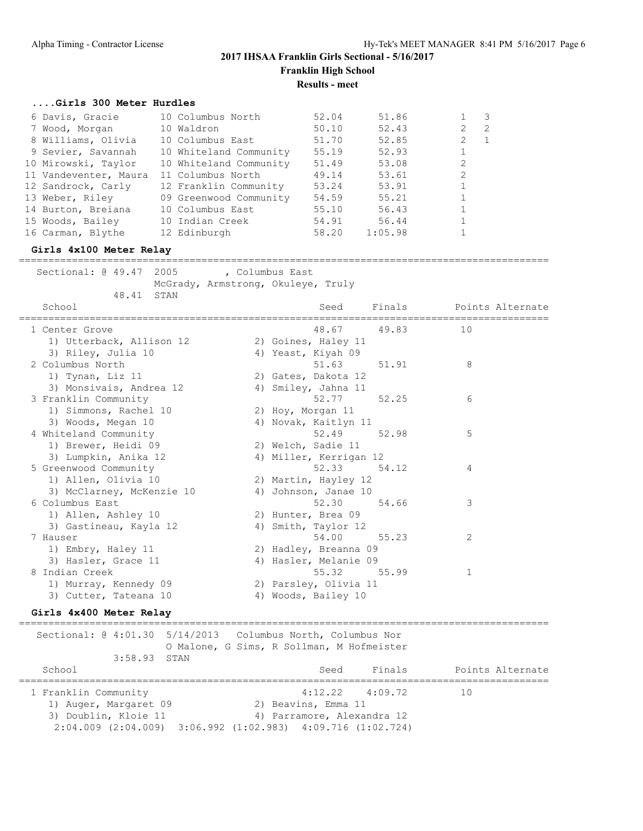# **2017 IHSAA Franklin Girls Sectional - 5/16/2017 Franklin High School**

**Results - meet**

#### **....Girls 300 Meter Hurdles**

| 6 Davis, Gracie       | 10 Columbus North      | 52.04 | 51.86   |                      | -3  |
|-----------------------|------------------------|-------|---------|----------------------|-----|
| 7 Wood, Morgan        | 10 Waldron             | 50.10 | 52.43   | $\mathbf{2}^{\circ}$ | - 2 |
| 8 Williams, Olivia    | 10 Columbus East       | 51.70 | 52.85   |                      | - 1 |
| 9 Sevier, Savannah    | 10 Whiteland Community | 55.19 | 52.93   | $\mathbf{1}$         |     |
| 10 Mirowski, Taylor   | 10 Whiteland Community | 51.49 | 53.08   | 2                    |     |
| 11 Vandeventer, Maura | 11 Columbus North      | 49.14 | 53.61   | 2                    |     |
| 12 Sandrock, Carly    | 12 Franklin Community  | 53.24 | 53.91   | $\mathbf{1}$         |     |
| 13 Weber, Riley       | 09 Greenwood Community | 54.59 | 55.21   | $\mathbf{1}$         |     |
| 14 Burton, Breiana    | 10 Columbus East       | 55.10 | 56.43   | $\mathbf{1}$         |     |
| 15 Woods, Bailey      | 10 Indian Creek        | 54.91 | 56.44   | 1                    |     |
| 16 Carman, Blythe     | 12 Edinburgh           | 58.20 | 1:05.98 |                      |     |
|                       |                        |       |         |                      |     |

### **Girls 4x100 Meter Relay**

==========================================================================================

|                      | Sectional: 0 49.47 2005   | , Columbus East<br>McGrady, Armstrong, Okuleye, Truly |                        |       |                         |  |
|----------------------|---------------------------|-------------------------------------------------------|------------------------|-------|-------------------------|--|
| School               | 48.41 STAN                |                                                       | Seed                   |       | Finals Points Alternate |  |
| 1 Center Grove       |                           |                                                       | 48.67 49.83            |       | 10                      |  |
|                      | 1) Utterback, Allison 12  |                                                       | 2) Goines, Haley 11    |       |                         |  |
|                      | 3) Riley, Julia 10        |                                                       | 4) Yeast, Kiyah 09     |       |                         |  |
| 2 Columbus North     |                           |                                                       | 51.63 51.91            |       | 8                       |  |
|                      | 1) Tynan, Liz 11          |                                                       | 2) Gates, Dakota 12    |       |                         |  |
|                      | 3) Monsivais, Andrea 12   |                                                       | 4) Smiley, Jahna 11    |       |                         |  |
| 3 Franklin Community |                           |                                                       | 52.77                  | 52.25 | 6                       |  |
|                      | 1) Simmons, Rachel 10     |                                                       | 2) Hoy, Morgan 11      |       |                         |  |
|                      | 3) Woods, Megan 10        |                                                       | 4) Novak, Kaitlyn 11   |       |                         |  |
|                      | 4 Whiteland Community     |                                                       | 52.49 52.98            |       | 5                       |  |
|                      | 1) Brewer, Heidi 09       |                                                       | 2) Welch, Sadie 11     |       |                         |  |
|                      | 3) Lumpkin, Anika 12      |                                                       | 4) Miller, Kerrigan 12 |       |                         |  |
|                      | 5 Greenwood Community     |                                                       | 52.33 54.12            |       | 4                       |  |
|                      | 1) Allen, Olivia 10       |                                                       | 2) Martin, Hayley 12   |       |                         |  |
|                      | 3) McClarney, McKenzie 10 |                                                       | 4) Johnson, Janae 10   |       |                         |  |
| 6 Columbus East      |                           |                                                       | 52.30                  | 54.66 | 3                       |  |
|                      | 1) Allen, Ashley 10       |                                                       | 2) Hunter, Brea 09     |       |                         |  |
|                      | 3) Gastineau, Kayla 12    |                                                       | 4) Smith, Taylor 12    |       |                         |  |
| 7 Hauser             |                           |                                                       | 54.00                  | 55.23 | 2                       |  |

| 7 Hauser            |  | 54.00                 | 55.23 |  |
|---------------------|--|-----------------------|-------|--|
| 1) Embry, Haley 11  |  | 2) Hadley, Breanna 09 |       |  |
| 3) Hasler, Grace 11 |  | 4) Hasler, Melanie 09 |       |  |
| 8 Indian Creek      |  | 55.32                 | 55.99 |  |

# **Girls 4x400 Meter Relay**

 1) Murray, Kennedy 09 2) Parsley, Olivia 11 3) Cutter, Tateana 10 (4) Woods, Bailey 10

========================================================================================== Sectional: @ 4:01.30 5/14/2013 Columbus North, Columbus Nor O Malone, G Sims, R Sollman, M Hofmeister 3:58.93 STAN School School Seed Finals Points Alternate ========================================================================================== 1 Franklin Community 4:12.22 4:09.72 10 1) Auger, Margaret 09 2) Beavins, Emma 11 3) Doublin, Kloie 11 (4) Parramore, Alexandra 12 2:04.009 (2:04.009) 3:06.992 (1:02.983) 4:09.716 (1:02.724)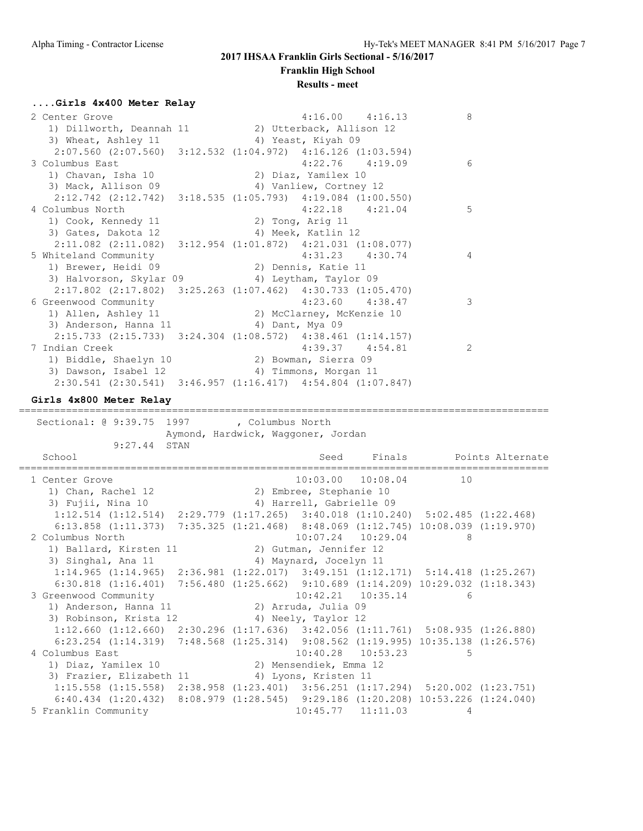#### **Franklin High School**

#### **Results - meet**

#### **....Girls 4x400 Meter Relay**

| 2 Center Grove                                                          | 8<br>$4:16.00$ $4:16.13$              |
|-------------------------------------------------------------------------|---------------------------------------|
| 1) Dillworth, Deannah 11 (2) Utterback, Allison 12                      |                                       |
| 3) Wheat, Ashley 11 (4) Yeast, Kiyah 09                                 |                                       |
| 2:07.560 (2:07.560) 3:12.532 (1:04.972) 4:16.126 (1:03.594)             |                                       |
| 3 Columbus East                                                         | $4:22.76$ $4:19.09$<br>6              |
| 1) Chavan, Isha 10                                                      | 2) Diaz, Yamilex 10                   |
| 3) Mack, Allison 09                                                     | 4) Vanliew, Cortney 12                |
| $2:12.742$ (2:12.742) 3:18.535 (1:05.793) 4:19.084 (1:00.550)           |                                       |
| 4 Columbus North                                                        | 5<br>$4:22.18$ $4:21.04$              |
| 1) Cook, Kennedy 11                                                     | 2) Tong, Arig 11                      |
| 3) Gates, Dakota 12                                                     | 4) Meek, Katlin 12                    |
| $2:11.082$ (2:11.082) $3:12.954$ (1:01.872) $4:21.031$ (1:08.077)       |                                       |
| 5 Whiteland Community                                                   | $4:31.23$ $4:30.74$<br>4              |
| 1) Brewer, Heidi 09                                                     | 2) Dennis, Katie 11                   |
| 3) Halvorson, Skylar 09 (4) Leytham, Taylor 09                          |                                       |
| $2:17.802$ (2:17.802) 3:25.263 (1:07.462) 4:30.733 (1:05.470)           |                                       |
| 6 Greenwood Community                                                   | 3<br>$4:23.60$ $4:38.47$              |
| 1) Allen, Ashley 11                                                     | 2) McClarney, McKenzie 10             |
| 3) Anderson, Hanna 11 (4) Dant, Mya 09                                  |                                       |
| $2:15.733$ (2:15.733) 3:24.304 (1:08.572) 4:38.461 (1:14.157)           |                                       |
| 7 Indian Creek                                                          | $\overline{2}$<br>$4:39.37$ $4:54.81$ |
| 1) Biddle, Shaelyn 10                                                   | 2) Bowman, Sierra 09                  |
| 3) Dawson, Isabel 12                                                    | 4) Timmons, Morgan 11                 |
| $2:30.541$ $(2:30.541)$ $3:46.957$ $(1:16.417)$ $4:54.804$ $(1:07.847)$ |                                       |

# **Girls 4x800 Meter Relay**

========================================================================================== Sectional: @ 9:39.75 1997 , Columbus North Aymond, Hardwick, Waggoner, Jordan 9:27.44 STAN School Seed Finals Points Alternate ========================================================================================== 1 Center Grove 10:03.00 10:08.04 10 1) Chan, Rachel 12 2) Embree, Stephanie 10 3) Fujii, Nina 10 4) Harrell, Gabrielle 09 1:12.514 (1:12.514) 2:29.779 (1:17.265) 3:40.018 (1:10.240) 5:02.485 (1:22.468) 6:13.858 (1:11.373) 7:35.325 (1:21.468) 8:48.069 (1:12.745) 10:08.039 (1:19.970) 2 Columbus North 10:07.24 10:29.04 8 1) Ballard, Kirsten 11 2) Gutman, Jennifer 12 3) Singhal, Ana 11 4) Maynard, Jocelyn 11 1:14.965 (1:14.965) 2:36.981 (1:22.017) 3:49.151 (1:12.171) 5:14.418 (1:25.267) 6:30.818 (1:16.401) 7:56.480 (1:25.662) 9:10.689 (1:14.209) 10:29.032 (1:18.343) 3 Greenwood Community 10:42.21 10:35.14 6 1) Anderson, Hanna 11 2) Arruda, Julia 09 3) Robinson, Krista 12 4) Neely, Taylor 12 1:12.660 (1:12.660) 2:30.296 (1:17.636) 3:42.056 (1:11.761) 5:08.935 (1:26.880) 6:23.254 (1:14.319) 7:48.568 (1:25.314) 9:08.562 (1:19.995) 10:35.138 (1:26.576)<br>olumbus East 10:40.28 10:53.23 5 4 Columbus East 10:40.28 10:53.23 5 1) Diaz, Yamilex 10 2) Mensendiek, Emma 12 3) Frazier, Elizabeth 11 <a>
4) Lyons, Kristen 11</a> 1:15.558 (1:15.558) 2:38.958 (1:23.401) 3:56.251 (1:17.294) 5:20.002 (1:23.751) 6:40.434 (1:20.432) 8:08.979 (1:28.545) 9:29.186 (1:20.208) 10:53.226 (1:24.040) 5 Franklin Community 10:45.77 11:11.03 4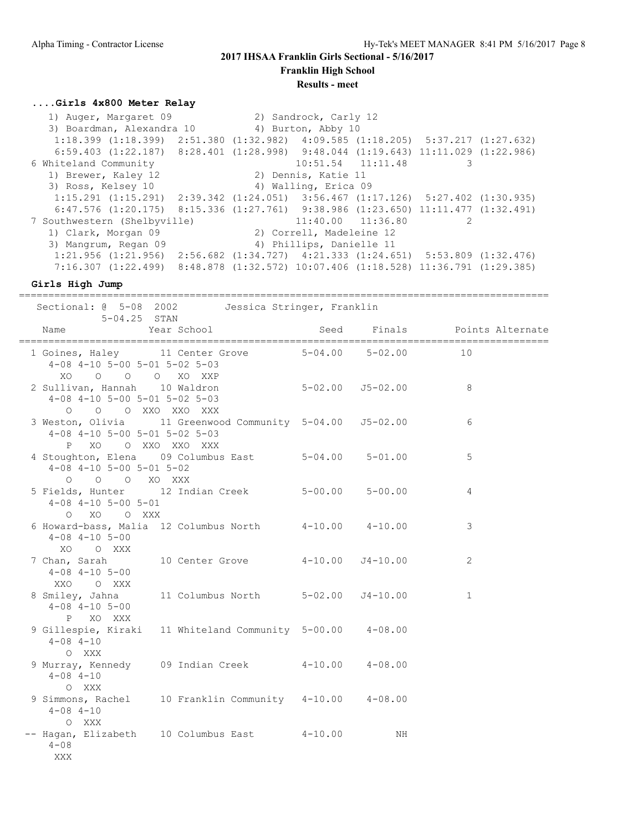**Franklin High School**

#### **Results - meet**

# **....Girls 4x800 Meter Relay**

 1) Auger, Margaret 09 2) Sandrock, Carly 12 3) Boardman, Alexandra 10 (4) Burton, Abby 10 1:18.399 (1:18.399) 2:51.380 (1:32.982) 4:09.585 (1:18.205) 5:37.217 (1:27.632) 6:59.403 (1:22.187) 8:28.401 (1:28.998) 9:48.044 (1:19.643) 11:11.029 (1:22.986) 6 Whiteland Community 10:51.54 11:11.48 3 1) Brewer, Kaley 12 2) Dennis, Katie 11 3) Ross, Kelsey 10 4) Walling, Erica 09 1:15.291 (1:15.291) 2:39.342 (1:24.051) 3:56.467 (1:17.126) 5:27.402 (1:30.935) 6:47.576 (1:20.175) 8:15.336 (1:27.761) 9:38.986 (1:23.650) 11:11.477 (1:32.491) 7 Southwestern (Shelbyville) 11:40.00 11:36.80 2 1) Clark, Morgan 09 2) Correll, Madeleine 12 3) Mangrum, Regan 09 4) Phillips, Danielle 11 1:21.956 (1:21.956) 2:56.682 (1:34.727) 4:21.333 (1:24.651) 5:53.809 (1:32.476) 7:16.307 (1:22.499) 8:48.878 (1:32.572) 10:07.406 (1:18.528) 11:36.791 (1:29.385)

**Girls High Jump**

|                            |                                                                 |                                                            | =================== |                              |
|----------------------------|-----------------------------------------------------------------|------------------------------------------------------------|---------------------|------------------------------|
|                            | $5-04.25$ STAN                                                  | Sectional: @ 5-08 2002 Jessica Stringer, Franklin          |                     |                              |
| Name                       |                                                                 | Year School                                                |                     | Seed Finals Points Alternate |
|                            | $4-08$ $4-10$ $5-00$ $5-01$ $5-02$ $5-03$<br>XO O O O XO XXP    | 1 Goines, Haley 11 Center Grove 5-04.00 5-02.00 10         |                     |                              |
|                            | $4-08$ $4-10$ $5-00$ $5-01$ $5-02$ $5-03$<br>0 0 0 XXO XXO XXX  | 2 Sullivan, Hannah 10 Waldron 5-02.00 55-02.00 8           |                     |                              |
|                            | $4-08$ $4-10$ $5-00$ $5-01$ $5-02$ $5-03$<br>P XO O XXO XXO XXX | 3 Weston, Olivia 11 Greenwood Community 5-04.00 J5-02.00   |                     | 6                            |
|                            | $4-08$ $4-10$ $5-00$ $5-01$ $5-02$<br>O O O XO XXX              | 4 Stoughton, Elena 09 Columbus East 5-04.00 5-01.00        |                     | 5                            |
|                            | $4-08$ $4-10$ $5-00$ $5-01$<br>O XO O XXX                       | 5 Fields, Hunter 12 Indian Creek 5-00.00 5-00.00           |                     | $\overline{4}$               |
|                            | $4 - 08$ $4 - 10$ $5 - 00$<br>XO OXXX                           | 6 Howard-bass, Malia 12 Columbus North 4-10.00 4-10.00     |                     | 3                            |
|                            | $4 - 08$ $4 - 10$ $5 - 00$<br>XXO O XXX                         | 7 Chan, Sarah 10 Center Grove 4-10.00 J4-10.00             |                     | 2                            |
|                            | $4 - 08$ $4 - 10$ $5 - 00$<br>P XO XXX                          | 8 Smiley, Jahna 11 Columbus North 5-02.00 J4-10.00         |                     | $\mathbf{1}$                 |
| $4 - 08$ $4 - 10$<br>O XXX |                                                                 | 9 Gillespie, Kiraki 11 Whiteland Community 5-00.00 4-08.00 |                     |                              |
| $4 - 08$ $4 - 10$<br>O XXX |                                                                 | 9 Murray, Kennedy 09 Indian Creek 4-10.00 4-08.00          |                     |                              |
| $4 - 08$ $4 - 10$<br>O XXX |                                                                 | 9 Simmons, Rachel 10 Franklin Community 4-10.00 4-08.00    |                     |                              |
| $4 - 0.8$<br>XXX           |                                                                 | -- Hagan, Elizabeth 10 Columbus East 4-10.00 MH            |                     |                              |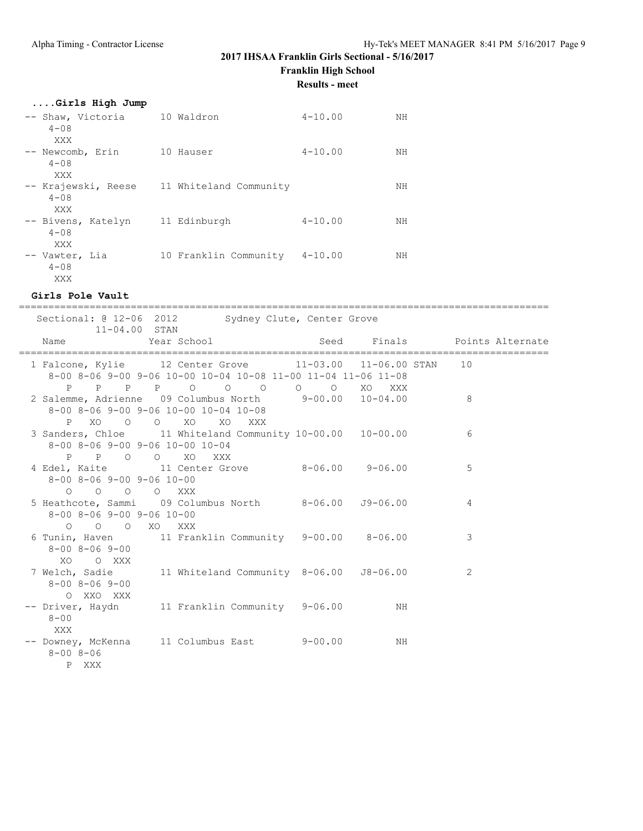**Franklin High School**

**Results - meet**

# **....Girls High Jump**

| -- Shaw, Victoria<br>$4 - 0.8$<br>XXX   | 10 Waldron             | $4 - 10.00$ | NΗ |
|-----------------------------------------|------------------------|-------------|----|
| -- Newcomb, Erin<br>$4 - 08$<br>XXX     | 10 Hauser              | $4 - 10.00$ | NΗ |
| -- Krajewski, Reese<br>$4 - 0.8$<br>XXX | 11 Whiteland Community |             | NΗ |
| -- Bivens, Katelyn<br>$4 - 08$<br>XXX   | 11 Edinburgh           | $4 - 10.00$ | ΝH |
| -- Vawter, Lia<br>$4 - 0.8$<br>XXX      | 10 Franklin Community  | $4 - 10.00$ | NΗ |

#### **Girls Pole Vault**

| 11-04.00 STAN                                                                                     |                                                                           | Sectional: @ 12-06 2012 Sydney Clute, Center Grove                                                                          |                            |                                          |
|---------------------------------------------------------------------------------------------------|---------------------------------------------------------------------------|-----------------------------------------------------------------------------------------------------------------------------|----------------------------|------------------------------------------|
| Name                                                                                              |                                                                           |                                                                                                                             | ,,,,,,,,,,,,,,,,,,,,,,,,,, | Year School Seed Finals Points Alternate |
|                                                                                                   |                                                                           | 1 Falcone, Kylie 12 Center Grove 11-03.00 11-06.00 STAN 10<br>8-00 8-06 9-00 9-06 10-00 10-04 10-08 11-00 11-04 11-06 11-08 |                            |                                          |
|                                                                                                   | $8-00$ $8-06$ $9-00$ $9-06$ $10-00$ $10-04$ $10-08$<br>P XO O O XO XO XXX | P P P P O O O O O XO XXX<br>2 Salemme, Adrienne 09 Columbus North 9-00.00 10-04.00                                          |                            | 8 <sup>1</sup>                           |
|                                                                                                   | 8-00 8-06 9-00 9-06 10-00 10-04                                           | 3 Sanders, Chloe 11 Whiteland Community 10-00.00 10-00.00                                                                   |                            | 6                                        |
| $8 - 00$ $8 - 06$ $9 - 00$ $9 - 06$ $10 - 00$                                                     | P P O O XO XXX                                                            | 4 Edel, Kaite 11 Center Grove 8-06.00 9-06.00                                                                               |                            | $\overline{5}$                           |
| $\begin{matrix}0&0&0&0&0&\text{XXX}\end{matrix}$<br>$8 - 00$ $8 - 06$ $9 - 00$ $9 - 06$ $10 - 00$ |                                                                           | 5 Heathcote, Sammi 09 Columbus North 8-06.00 J9-06.00                                                                       |                            | $\overline{4}$                           |
| O O O XO XXX<br>$8 - 00$ $8 - 06$ $9 - 00$                                                        |                                                                           | 6 Tunin, Haven 11 Franklin Community 9-00.00 8-06.00                                                                        |                            | 3                                        |
| XO OXXX<br>$8 - 00$ $8 - 06$ $9 - 00$<br>O XXO XXX                                                |                                                                           | 7 Welch, Sadie 11 Whiteland Community 8-06.00 J8-06.00                                                                      |                            | 2                                        |
| $8 - 00$<br>XXX                                                                                   |                                                                           | -- Driver, Haydn 11 Franklin Community 9-06.00 MH                                                                           |                            |                                          |
| $8 - 008 - 06$<br>P XXX                                                                           |                                                                           | -- Downey, McKenna 11 Columbus East 9-00.00 MH                                                                              |                            |                                          |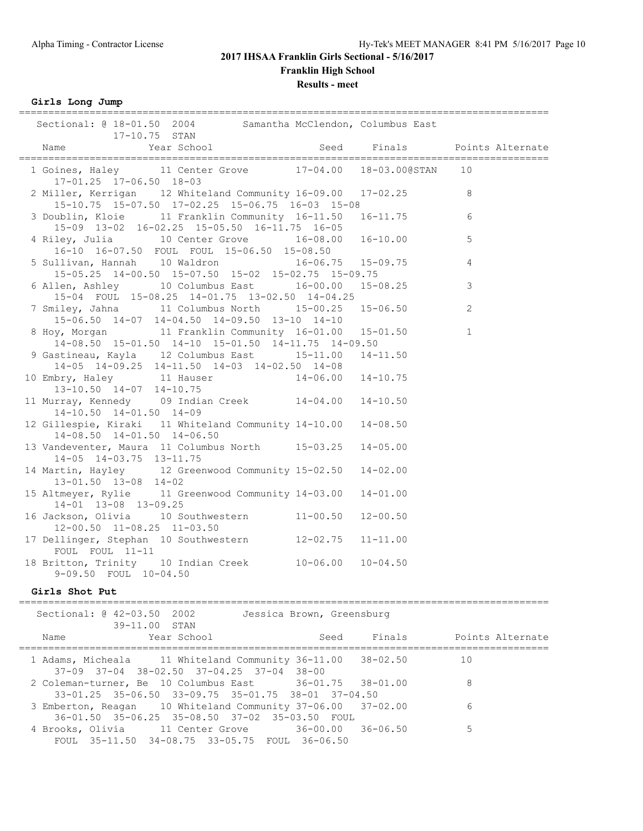**Franklin High School**

**Results - meet**

**Girls Long Jump**

| Sectional: @ 18-01.50 2004 Samantha McClendon, Columbus East                                                  |                      |                           |                              |                |                  |
|---------------------------------------------------------------------------------------------------------------|----------------------|---------------------------|------------------------------|----------------|------------------|
| 17-10.75 STAN<br>Year School<br>Name                                                                          |                      |                           | Seed Finals Points Alternate |                |                  |
| 1 Goines, Haley 11 Center Grove 17-04.00 18-03.00@STAN 10                                                     |                      |                           |                              |                |                  |
| 17-01.25 17-06.50 18-03                                                                                       |                      |                           |                              |                |                  |
| 2 Miller, Kerrigan 12 Whiteland Community 16-09.00 17-02.25 8                                                 |                      |                           |                              |                |                  |
| 15-10.75 15-07.50 17-02.25 15-06.75 16-03 15-08<br>3 Doublin, Kloie 11 Franklin Community 16-11.50 16-11.75 6 |                      |                           |                              |                |                  |
| 15-09 13-02 16-02.25 15-05.50 16-11.75 16-05                                                                  |                      |                           |                              |                |                  |
| 4 Riley, Julia 10 Center Grove 16-08.00 16-10.00 5                                                            |                      |                           |                              |                |                  |
| 16-10 16-07.50 FOUL FOUL 15-06.50 15-08.50                                                                    |                      |                           |                              |                |                  |
| 5 Sullivan, Hannah 10 Waldron 16-06.75 15-09.75<br>15-05.25 14-00.50 15-07.50 15-02 15-02.75 15-09.75         |                      |                           |                              | $\overline{4}$ |                  |
| 6 Allen, Ashley 10 Columbus East 16-00.00 15-08.25                                                            |                      |                           |                              | 3              |                  |
| 15-04 FOUL 15-08.25 14-01.75 13-02.50 14-04.25                                                                |                      |                           |                              |                |                  |
| 7 Smiley, Jahna 11 Columbus North 15-00.25 15-06.50                                                           |                      |                           |                              | 2              |                  |
| 15-06.50 14-07 14-04.50 14-09.50 13-10 14-10                                                                  |                      |                           |                              |                |                  |
| 8 Hoy, Morgan 11 Franklin Community 16-01.00 15-01.50 1                                                       |                      |                           |                              |                |                  |
| 14-08.50 15-01.50 14-10 15-01.50 14-11.75 14-09.50                                                            |                      |                           |                              |                |                  |
| 9 Gastineau, Kayla 12 Columbus East 15-11.00<br>14-05 14-09.25 14-11.50 14-03 14-02.50 14-08                  |                      |                           | $14 - 11.50$                 |                |                  |
|                                                                                                               |                      |                           |                              |                |                  |
| 10 Embry, Haley 11 Hauser 14-06.00 14-10.75<br>13-10.50 14-07 14-10.75                                        |                      |                           |                              |                |                  |
| 11 Murray, Kennedy 09 Indian Creek 14-04.00<br>14-10.50 14-01.50 14-09                                        |                      |                           | $14 - 10.50$                 |                |                  |
| 12 Gillespie, Kiraki 11 Whiteland Community 14-10.00<br>14-08.50 14-01.50 14-06.50                            |                      |                           | $14 - 08.50$                 |                |                  |
| 13 Vandeventer, Maura 11 Columbus North 15-03.25<br>14-05 14-03.75 13-11.75                                   |                      |                           | $14 - 05.00$                 |                |                  |
| 14 Martin, Hayley 12 Greenwood Community 15-02.50<br>$13 - 01.50$ $13 - 08$ $14 - 02$                         |                      |                           | $14 - 02.00$                 |                |                  |
| 15 Altmeyer, Rylie 11 Greenwood Community 14-03.00<br>14-01 13-08 13-09.25                                    |                      |                           | $14 - 01.00$                 |                |                  |
| 16 Jackson, Olivia 10 Southwestern 11-00.50<br>12-00.50 11-08.25 11-03.50                                     |                      |                           | $12 - 00.50$                 |                |                  |
| 17 Dellinger, Stephan 10 Southwestern 12-02.75<br>FOUL FOUL 11-11                                             |                      |                           | $11 - 11.00$                 |                |                  |
| 18 Britton, Trinity 10 Indian Creek 10-06.00 10-04.50<br>9-09.50 FOUL 10-04.50                                |                      |                           |                              |                |                  |
| Girls Shot Put                                                                                                |                      |                           |                              |                |                  |
| Sectional: @ 42-03.50 2002<br>39-11.00 STAN                                                                   |                      | Jessica Brown, Greensburg |                              |                |                  |
| Year School<br>Name                                                                                           |                      | Seed                      | Finals                       |                | Points Alternate |
| =================================<br>1 Adams. Micheala 11 Whiteland Community 36-11.00 38-02.50               | -------------------- |                           | ======================       | 10             |                  |

| 1 Adams, Micheala 11 Whiteland Community 36-11.00 38-02.50 10 |  |     |
|---------------------------------------------------------------|--|-----|
| $37-09$ $37-04$ $38-02.50$ $37-04.25$ $37-04$ $38-00$         |  |     |
| 2 Coleman-turner, Be 10 Columbus East 36-01.75 38-01.00       |  | - 8 |
| 33-01.25 35-06.50 33-09.75 35-01.75 38-01 37-04.50            |  |     |
| 3 Emberton, Reagan 10 Whiteland Community 37-06.00 37-02.00   |  | 6   |
| 36-01.50 35-06.25 35-08.50 37-02 35-03.50 FOUL                |  |     |
| 4 Brooks, Olivia 11 Center Grove 36-00.00 36-06.50            |  | 5   |
| FOUL 35-11.50 34-08.75 33-05.75 FOUL 36-06.50                 |  |     |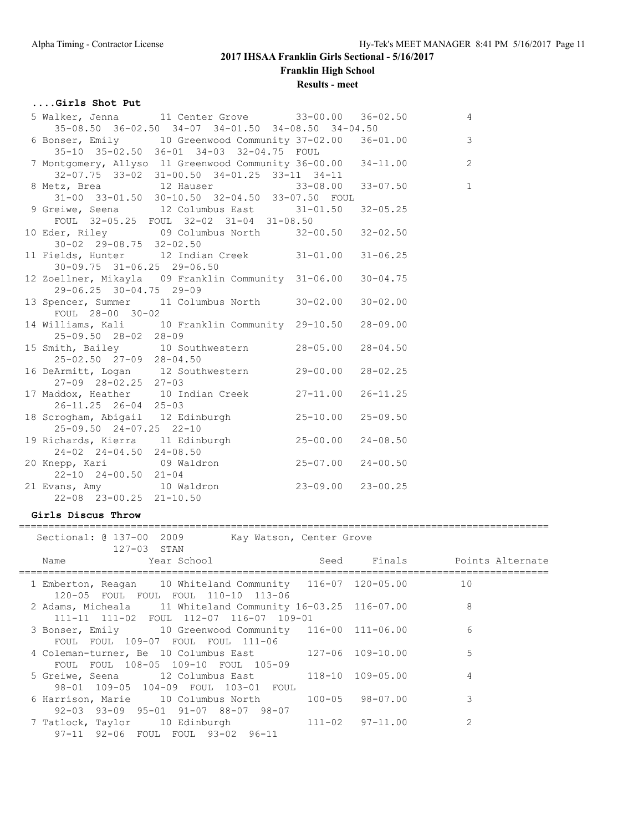**Franklin High School**

### **Results - meet**

# **....Girls Shot Put**

| 5 Walker, Jenna 11 Center Grove 33-00.00 36-02.50                                                                                                            |              | $\overline{4}$ |
|--------------------------------------------------------------------------------------------------------------------------------------------------------------|--------------|----------------|
| 35-08.50 36-02.50 34-07 34-01.50 34-08.50 34-04.50<br>6 Bonser, Emily 10 Greenwood Community 37-02.00 36-01.00 3<br>35-10 35-02.50 36-01 34-03 32-04.75 FOUL |              |                |
| 7 Montgomery, Allyso 11 Greenwood Community 36-00.00 34-11.00 2<br>32-07.75 33-02 31-00.50 34-01.25 33-11 34-11                                              |              |                |
| 8 Metz, Brea<br>31-00 33-01.50 30-10.50 32-04.50 33-07.50 FOUL<br>31-00 33-01.50 30-10.50 32-04.50 33-07.50 FOUL                                             |              |                |
| 9 Greiwe, Seena 12 Columbus East 31-01.50 32-05.25<br>FOUL 32-05.25 FOUL 32-02 31-04 31-08.50                                                                |              |                |
| 10 Eder, Riley 09 Columbus North 32-00.50 32-02.50<br>$30-02$ $29-08.75$ $32-02.50$                                                                          |              |                |
| 11 Fields, Hunter 12 Indian Creek 31-01.00 31-06.25<br>$30 - 09.75$ $31 - 06.25$ 29-06.50                                                                    |              |                |
| 12 Zoellner, Mikayla 09 Franklin Community 31-06.00 30-04.75<br>29-06.25 30-04.75 29-09                                                                      |              |                |
| 13 Spencer, Summer 11 Columbus North 30-02.00<br>FOUL 28-00 30-02                                                                                            | $30 - 02.00$ |                |
| 14 Williams, Kali 10 Franklin Community 29-10.50<br>$25 - 09.50$ $28 - 02$ $28 - 09$                                                                         | $28 - 09.00$ |                |
| 15 Smith, Bailey 10 Southwestern 28-05.00<br>25-02.50 27-09 28-04.50                                                                                         | $28 - 04.50$ |                |
| 16 DeArmitt, Logan 12 Southwestern 29-00.00<br>$27-09$ $28-02.25$ $27-03$                                                                                    | $28 - 02.25$ |                |
| 17 Maddox, Heather 10 Indian Creek 27-11.00 26-11.25<br>$26 - 11.25$ $26 - 04$ $25 - 03$                                                                     |              |                |
| 18 Scrogham, Abigail 12 Edinburgh 18 25-10.00 25-09.50                                                                                                       |              |                |
| 25-09.50 24-07.25 22-10<br>19 Richards, Kierra 11 Edinburgh 25-00.00<br>$24-02$ $24-04.50$ $24-08.50$                                                        | $24 - 08.50$ |                |
| 20 Knepp, Kari (09 Waldron (25-07.00 24-00.50)<br>$22 - 10$ $24 - 00.50$ $21 - 04$                                                                           |              |                |
| 21 Evans, Amy 10 Waldron 23-09.00 23-00.25<br>$22 - 08$ $23 - 00.25$ $21 - 10.50$                                                                            |              |                |
|                                                                                                                                                              |              |                |

#### **Girls Discus Throw**

#### ==========================================================================================

| Sectional: 0 137-00 2009<br>Kay Watson, Center Grove<br>127-03 STAN                                    |  |                |
|--------------------------------------------------------------------------------------------------------|--|----------------|
|                                                                                                        |  |                |
| 1 Emberton, Reagan 10 Whiteland Community 116-07 120-05.00<br>120-05 FOUL FOUL FOUL 110-10 113-06      |  | 10             |
| 2 Adams, Micheala 11 Whiteland Community 16-03.25 116-07.00<br>111-11 111-02 FOUL 112-07 116-07 109-01 |  | 8              |
| 3 Bonser, Emily 10 Greenwood Community 116-00 111-06.00<br>FOUL FOUL 109-07 FOUL FOUL 111-06           |  | 6              |
| 4 Coleman-turner, Be 10 Columbus East 127-06 109-10.00<br>FOUL FOUL 108-05 109-10 FOUL 105-09          |  | 5              |
| 5 Greiwe, Seena 12 Columbus East 118-10 109-05.00<br>98-01 109-05 104-09 FOUL 103-01 FOUL              |  | $\overline{4}$ |
| 6 Harrison, Marie 10 Columbus North 100-05 98-07.00<br>92-03 93-09 95-01 91-07 88-07 98-07             |  | 3              |
| 7 Tatlock, Taylor 10 Edinburgh 111-02 97-11.00<br>97-11 92-06 FOUL FOUL 93-02 96-11                    |  | $\mathfrak{D}$ |